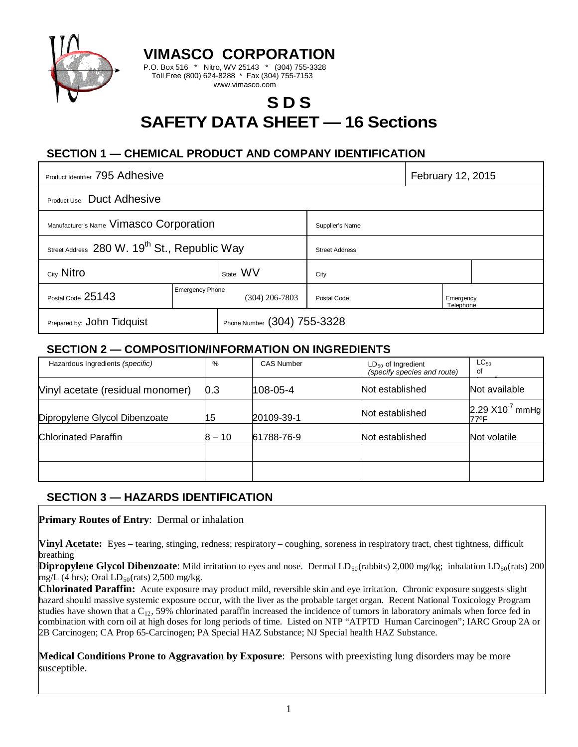

**VIMASCO CORPORATION**

P.O. Box 516 \* Nitro, WV 25143 \* (304) 755-3328 Toll Free (800) 624-8288 \* Fax (304) 755-7153 www.vimasco.com

# **S D S SAFETY DATA SHEET — 16 Sections**

## **SECTION 1 — CHEMICAL PRODUCT AND COMPANY IDENTIFICATION**

| Product Identifier 795 Adhesive                          |                                          |                             |                       | February 12, 2015      |  |  |
|----------------------------------------------------------|------------------------------------------|-----------------------------|-----------------------|------------------------|--|--|
| Product Use Duct Adhesive                                |                                          |                             |                       |                        |  |  |
| Manufacturer's Name Vimasco Corporation                  |                                          |                             | Supplier's Name       |                        |  |  |
| Street Address 280 W. 19 <sup>th</sup> St., Republic Way |                                          |                             | <b>Street Address</b> |                        |  |  |
| City Nitro                                               |                                          | State: WV                   | City                  |                        |  |  |
| Postal Code 25143                                        | <b>Emergency Phone</b><br>(304) 206-7803 |                             | Postal Code           | Emergency<br>Telephone |  |  |
| Prepared by: John Tidquist                               |                                          | Phone Number (304) 755-3328 |                       |                        |  |  |

#### **SECTION 2 — COMPOSITION/INFORMATION ON INGREDIENTS**

| Hazardous Ingredients (specific) | %      | <b>CAS Number</b> | $LD_{50}$ of Ingredient<br>(specify species and route) | $LC_{50}$<br>οf              |
|----------------------------------|--------|-------------------|--------------------------------------------------------|------------------------------|
| Vinyl acetate (residual monomer) | 0.3    | 108-05-4          | Not established                                        | Not available                |
| Dipropylene Glycol Dibenzoate    | 15     | 20109-39-1        | Not established                                        | 2.29 $X10^{-7}$ mmHg<br>77ºF |
| <b>Chlorinated Paraffin</b>      | 8 – 10 | 61788-76-9        | Not established                                        | Not volatile                 |
|                                  |        |                   |                                                        |                              |
|                                  |        |                   |                                                        |                              |

#### **SECTION 3 — HAZARDS IDENTIFICATION**

**Primary Routes of Entry**: Dermal or inhalation

**Vinyl Acetate:** Eyes – tearing, stinging, redness; respiratory – coughing, soreness in respiratory tract, chest tightness, difficult breathing

**Dipropylene Glycol Dibenzoate**: Mild irritation to eyes and nose. Dermal LD<sub>50</sub>(rabbits) 2,000 mg/kg; inhalation LD<sub>50</sub>(rats) 200 mg/L (4 hrs); Oral  $LD_{50}$ (rats) 2,500 mg/kg.

**Chlorinated Paraffin:** Acute exposure may product mild, reversible skin and eye irritation. Chronic exposure suggests slight hazard should massive systemic exposure occur, with the liver as the probable target organ. Recent National Toxicology Program studies have shown that a  $C_{12}$ , 59% chlorinated paraffin increased the incidence of tumors in laboratory animals when force fed in combination with corn oil at high doses for long periods of time. Listed on NTP "ATPTD Human Carcinogen"; IARC Group 2A or 2B Carcinogen; CA Prop 65-Carcinogen; PA Special HAZ Substance; NJ Special health HAZ Substance.

**Medical Conditions Prone to Aggravation by Exposure**: Persons with preexisting lung disorders may be more susceptible.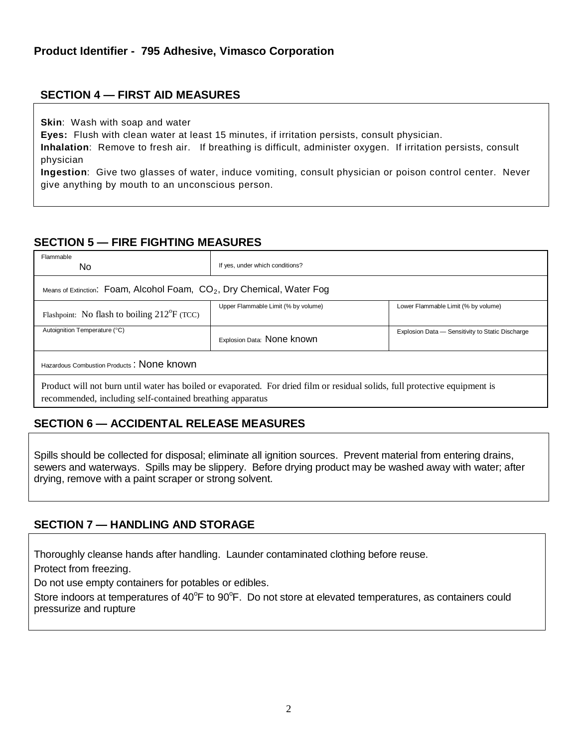## **SECTION 4 — FIRST AID MEASURES**

**Skin**: Wash with soap and water

**Eyes:** Flush with clean water at least 15 minutes, if irritation persists, consult physician.

**Inhalation**: Remove to fresh air. If breathing is difficult, administer oxygen. If irritation persists, consult physician

**Ingestion**: Give two glasses of water, induce vomiting, consult physician or poison control center. Never give anything by mouth to an unconscious person.

## **SECTION 5 — FIRE FIGHTING MEASURES**

| Flammable<br>No.                                                         | If yes, under which conditions?                                                                                             |                                                  |  |  |  |
|--------------------------------------------------------------------------|-----------------------------------------------------------------------------------------------------------------------------|--------------------------------------------------|--|--|--|
| Means of Extinction: Foam, Alcohol Foam, $CO2$ , Dry Chemical, Water Fog |                                                                                                                             |                                                  |  |  |  |
| Flashpoint: No flash to boiling $212^{\circ}F$ (TCC)                     | Upper Flammable Limit (% by volume)                                                                                         | Lower Flammable Limit (% by volume)              |  |  |  |
| Autoignition Temperature (°C)                                            | Explosion Data: None known                                                                                                  | Explosion Data - Sensitivity to Static Discharge |  |  |  |
| Hazardous Combustion Products: None known                                |                                                                                                                             |                                                  |  |  |  |
| recommended, including self-contained breathing apparatus                | Product will not burn until water has boiled or evaporated. For dried film or residual solids, full protective equipment is |                                                  |  |  |  |

#### **SECTION 6 — ACCIDENTAL RELEASE MEASURES**

Spills should be collected for disposal; eliminate all ignition sources. Prevent material from entering drains, sewers and waterways. Spills may be slippery. Before drying product may be washed away with water; after drying, remove with a paint scraper or strong solvent.

#### **SECTION 7 — HANDLING AND STORAGE**

Thoroughly cleanse hands after handling. Launder contaminated clothing before reuse.

Protect from freezing.

Do not use empty containers for potables or edibles.

Store indoors at temperatures of 40°F to 90°F. Do not store at elevated temperatures, as containers could pressurize and rupture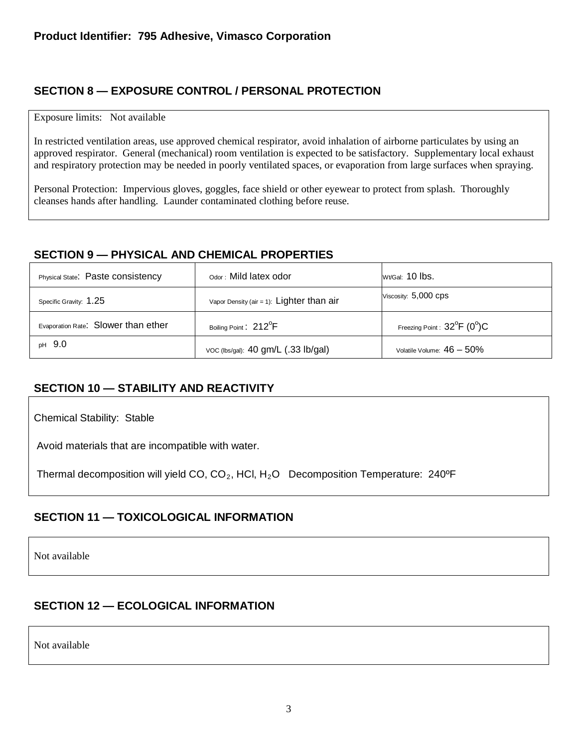## **SECTION 8 — EXPOSURE CONTROL / PERSONAL PROTECTION**

#### Exposure limits: Not available

In restricted ventilation areas, use approved chemical respirator, avoid inhalation of airborne particulates by using an approved respirator. General (mechanical) room ventilation is expected to be satisfactory. Supplementary local exhaust and respiratory protection may be needed in poorly ventilated spaces, or evaporation from large surfaces when spraying.

Personal Protection: Impervious gloves, goggles, face shield or other eyewear to protect from splash. Thoroughly cleanses hands after handling. Launder contaminated clothing before reuse.

#### **SECTION 9 — PHYSICAL AND CHEMICAL PROPERTIES**

| Physical State: Paste consistency   | Odor: Mild latex odor                     | $Wt/Gal: 10$ lbs.                                |
|-------------------------------------|-------------------------------------------|--------------------------------------------------|
| Specific Gravity: 1.25              | Vapor Density (air = 1): Lighter than air | Viscosity: 5,000 CDS                             |
| Evaporation Rate: Slower than ether | Boiling Point: 212 <sup>°</sup> F         | Freezing Point : $32^{\circ}$ F (0 $^{\circ}$ )C |
| <sub>pH</sub> 9.0                   | voc (lbs/gal): 40 gm/L (.33 lb/gal)       | Volatile Volume: $46 - 50\%$                     |

#### **SECTION 10 — STABILITY AND REACTIVITY**

Chemical Stability: Stable

Avoid materials that are incompatible with water.

Thermal decomposition will yield CO,  $CO<sub>2</sub>$ , HCI, H<sub>2</sub>O Decomposition Temperature: 240<sup>o</sup>F

## **SECTION 11 — TOXICOLOGICAL INFORMATION**

Not available

#### **SECTION 12 — ECOLOGICAL INFORMATION**

Not available